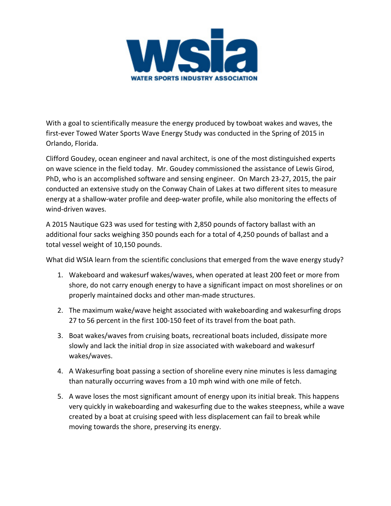

With a goal to scientifically measure the energy produced by towboat wakes and waves, the first-ever Towed Water Sports Wave Energy Study was conducted in the Spring of 2015 in Orlando, Florida.

Clifford Goudey, ocean engineer and naval architect, is one of the most distinguished experts on wave science in the field today. Mr. Goudey commissioned the assistance of Lewis Girod, PhD, who is an accomplished software and sensing engineer. On March 23-27, 2015, the pair conducted an extensive study on the Conway Chain of Lakes at two different sites to measure energy at a shallow-water profile and deep-water profile, while also monitoring the effects of wind-driven waves.

A 2015 Nautique G23 was used for testing with 2,850 pounds of factory ballast with an additional four sacks weighing 350 pounds each for a total of 4,250 pounds of ballast and a total vessel weight of 10,150 pounds.

What did WSIA learn from the scientific conclusions that emerged from the wave energy study?

- 1. Wakeboard and wakesurf wakes/waves, when operated at least 200 feet or more from shore, do not carry enough energy to have a significant impact on most shorelines or on properly maintained docks and other man-made structures.
- 2. The maximum wake/wave height associated with wakeboarding and wakesurfing drops 27 to 56 percent in the first 100-150 feet of its travel from the boat path.
- 3. Boat wakes/waves from cruising boats, recreational boats included, dissipate more slowly and lack the initial drop in size associated with wakeboard and wakesurf wakes/waves.
- 4. A Wakesurfing boat passing a section of shoreline every nine minutes is less damaging than naturally occurring waves from a 10 mph wind with one mile of fetch.
- 5. A wave loses the most significant amount of energy upon its initial break. This happens very quickly in wakeboarding and wakesurfing due to the wakes steepness, while a wave created by a boat at cruising speed with less displacement can fail to break while moving towards the shore, preserving its energy.